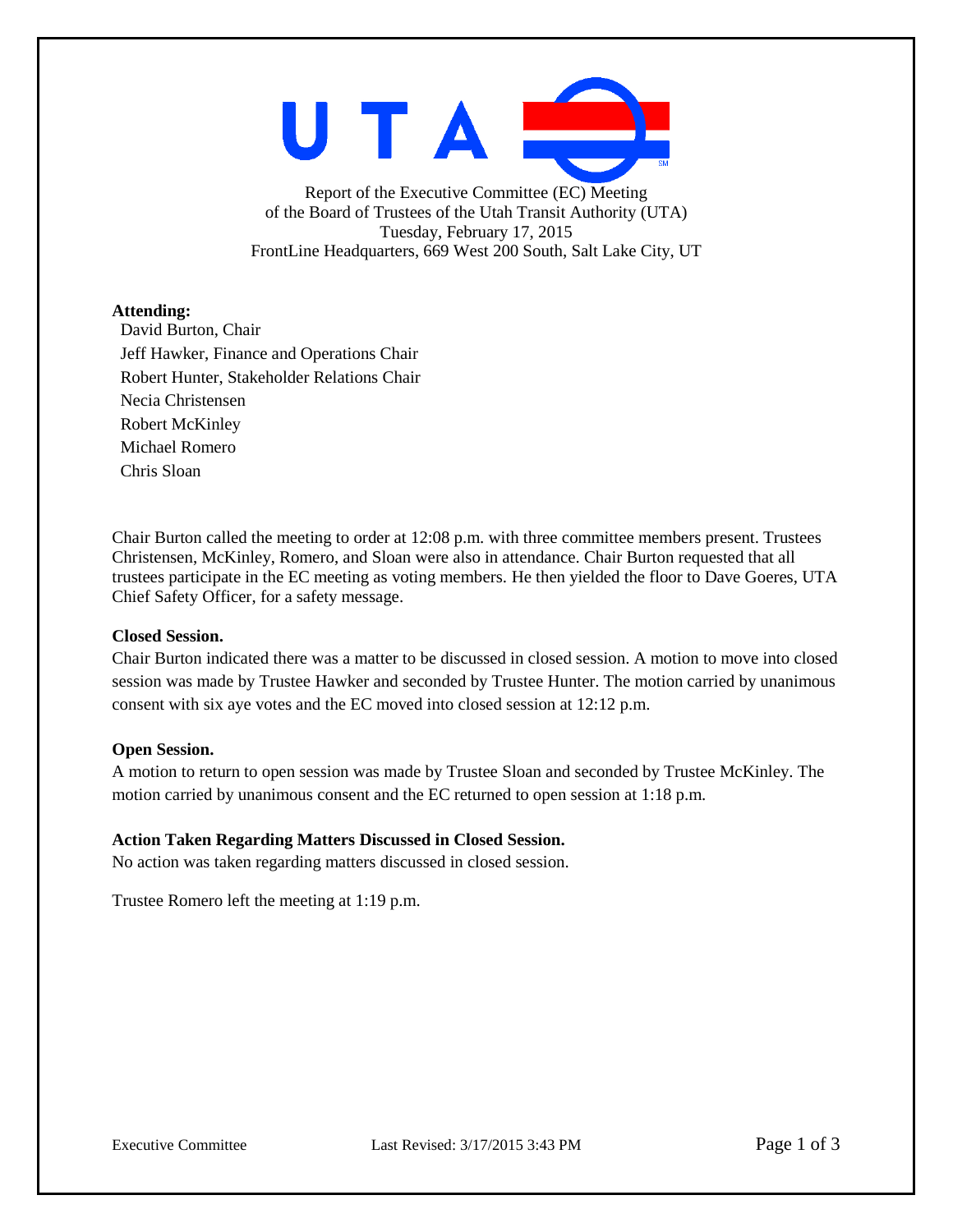UTAI

Report of the Executive Committee (EC) Meeting of the Board of Trustees of the Utah Transit Authority (UTA) Tuesday, February 17, 2015 FrontLine Headquarters, 669 West 200 South, Salt Lake City, UT

## **Attending:**

David Burton, Chair Jeff Hawker, Finance and Operations Chair Robert Hunter, Stakeholder Relations Chair Necia Christensen Robert McKinley Michael Romero Chris Sloan

Chair Burton called the meeting to order at 12:08 p.m. with three committee members present. Trustees Christensen, McKinley, Romero, and Sloan were also in attendance. Chair Burton requested that all trustees participate in the EC meeting as voting members. He then yielded the floor to Dave Goeres, UTA Chief Safety Officer, for a safety message.

## **Closed Session.**

Chair Burton indicated there was a matter to be discussed in closed session. A motion to move into closed session was made by Trustee Hawker and seconded by Trustee Hunter. The motion carried by unanimous consent with six aye votes and the EC moved into closed session at 12:12 p.m.

## **Open Session.**

A motion to return to open session was made by Trustee Sloan and seconded by Trustee McKinley. The motion carried by unanimous consent and the EC returned to open session at 1:18 p.m.

## **Action Taken Regarding Matters Discussed in Closed Session.**

No action was taken regarding matters discussed in closed session.

Trustee Romero left the meeting at 1:19 p.m.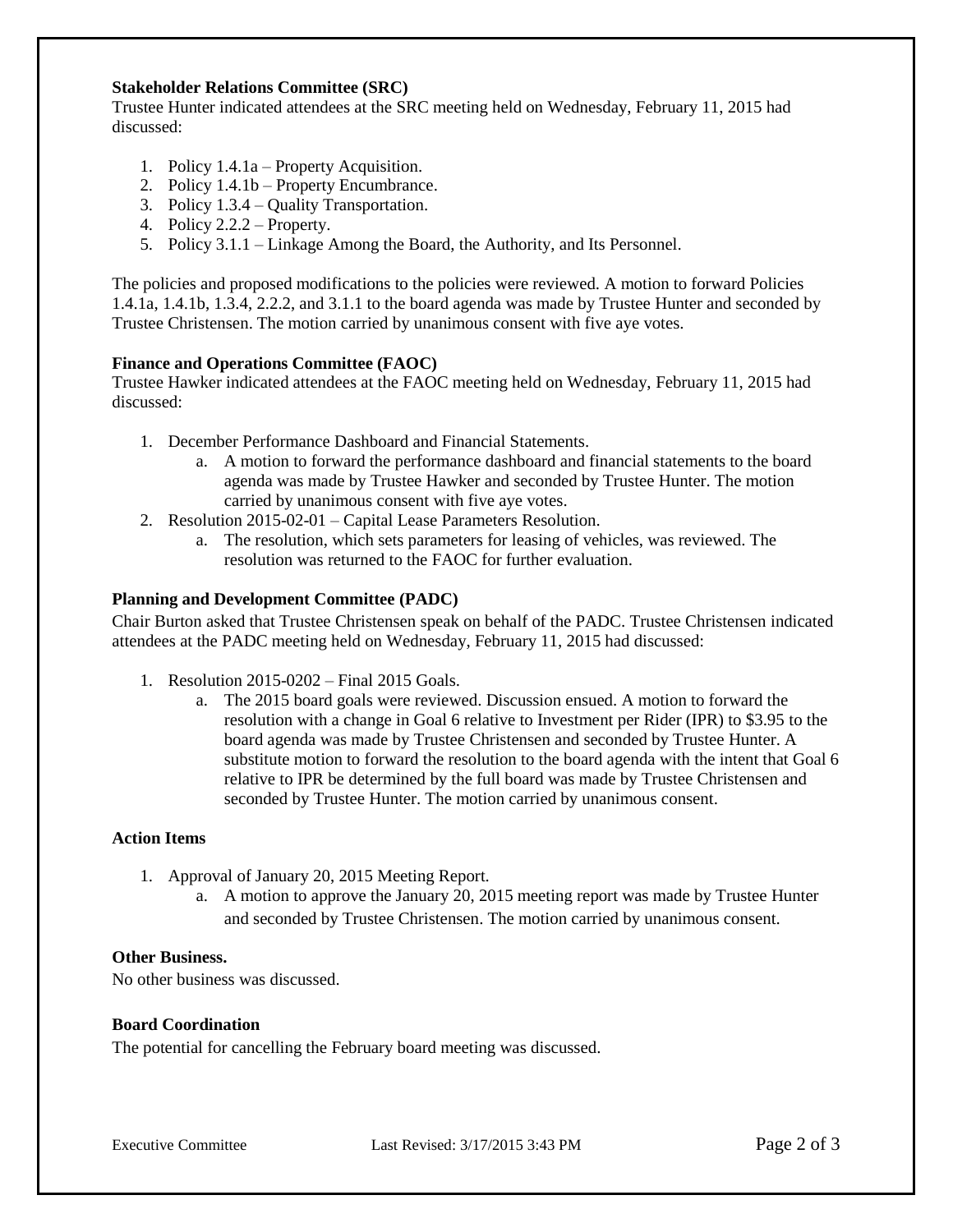# **Stakeholder Relations Committee (SRC)**

Trustee Hunter indicated attendees at the SRC meeting held on Wednesday, February 11, 2015 had discussed:

- 1. Policy 1.4.1a Property Acquisition.
- 2. Policy 1.4.1b Property Encumbrance.
- 3. Policy 1.3.4 Quality Transportation.
- 4. Policy 2.2.2 Property.
- 5. Policy 3.1.1 Linkage Among the Board, the Authority, and Its Personnel.

The policies and proposed modifications to the policies were reviewed. A motion to forward Policies 1.4.1a, 1.4.1b, 1.3.4, 2.2.2, and 3.1.1 to the board agenda was made by Trustee Hunter and seconded by Trustee Christensen. The motion carried by unanimous consent with five aye votes.

## **Finance and Operations Committee (FAOC)**

Trustee Hawker indicated attendees at the FAOC meeting held on Wednesday, February 11, 2015 had discussed:

- 1. December Performance Dashboard and Financial Statements.
	- a. A motion to forward the performance dashboard and financial statements to the board agenda was made by Trustee Hawker and seconded by Trustee Hunter. The motion carried by unanimous consent with five aye votes.
- 2. Resolution 2015-02-01 Capital Lease Parameters Resolution.
	- a. The resolution, which sets parameters for leasing of vehicles, was reviewed. The resolution was returned to the FAOC for further evaluation.

#### **Planning and Development Committee (PADC)**

Chair Burton asked that Trustee Christensen speak on behalf of the PADC. Trustee Christensen indicated attendees at the PADC meeting held on Wednesday, February 11, 2015 had discussed:

- 1. Resolution 2015-0202 Final 2015 Goals.
	- a. The 2015 board goals were reviewed. Discussion ensued. A motion to forward the resolution with a change in Goal 6 relative to Investment per Rider (IPR) to \$3.95 to the board agenda was made by Trustee Christensen and seconded by Trustee Hunter. A substitute motion to forward the resolution to the board agenda with the intent that Goal 6 relative to IPR be determined by the full board was made by Trustee Christensen and seconded by Trustee Hunter. The motion carried by unanimous consent.

## **Action Items**

- 1. Approval of January 20, 2015 Meeting Report.
	- a. A motion to approve the January 20, 2015 meeting report was made by Trustee Hunter and seconded by Trustee Christensen. The motion carried by unanimous consent.

#### **Other Business.**

No other business was discussed.

#### **Board Coordination**

The potential for cancelling the February board meeting was discussed.